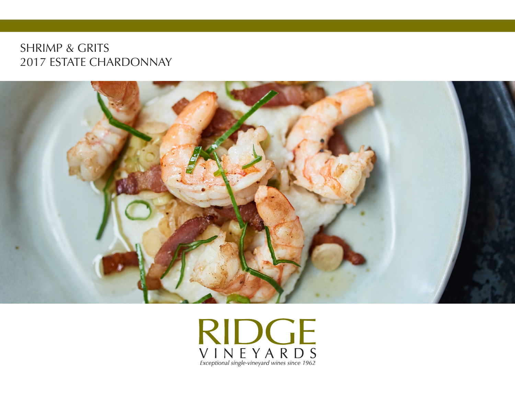## SHRIMP & GRITS 2017 ESTATE CHARDONNAY